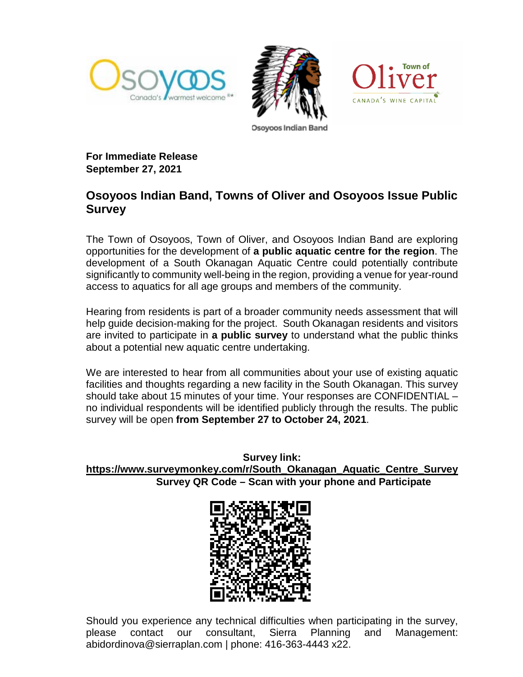





**For Immediate Release September 27, 2021**

## **Osoyoos Indian Band, Towns of Oliver and Osoyoos Issue Public Survey**

The Town of Osoyoos, Town of Oliver, and Osoyoos Indian Band are exploring opportunities for the development of **a public aquatic centre for the region**. The development of a South Okanagan Aquatic Centre could potentially contribute significantly to community well-being in the region, providing a venue for year-round access to aquatics for all age groups and members of the community.

Hearing from residents is part of a broader community needs assessment that will help guide decision-making for the project. South Okanagan residents and visitors are invited to participate in **a public survey** to understand what the public thinks about a potential new aquatic centre undertaking.

We are interested to hear from all communities about your use of existing aquatic facilities and thoughts regarding a new facility in the South Okanagan. This survey should take about 15 minutes of your time. Your responses are CONFIDENTIAL – no individual respondents will be identified publicly through the results. The public survey will be open **from September 27 to October 24, 2021**.

**Survey link: [https://www.surveymonkey.com/r/South\\_Okanagan\\_Aquatic\\_Centre\\_Survey](https://www.surveymonkey.com/r/South_Okanagan_Aquatic_Centre_Survey) Survey QR Code – Scan with your phone and Participate**



Should you experience any technical difficulties when participating in the survey, please contact our consultant, Sierra Planning and Management: abidordinova@sierraplan.com | phone: 416-363-4443 x22.